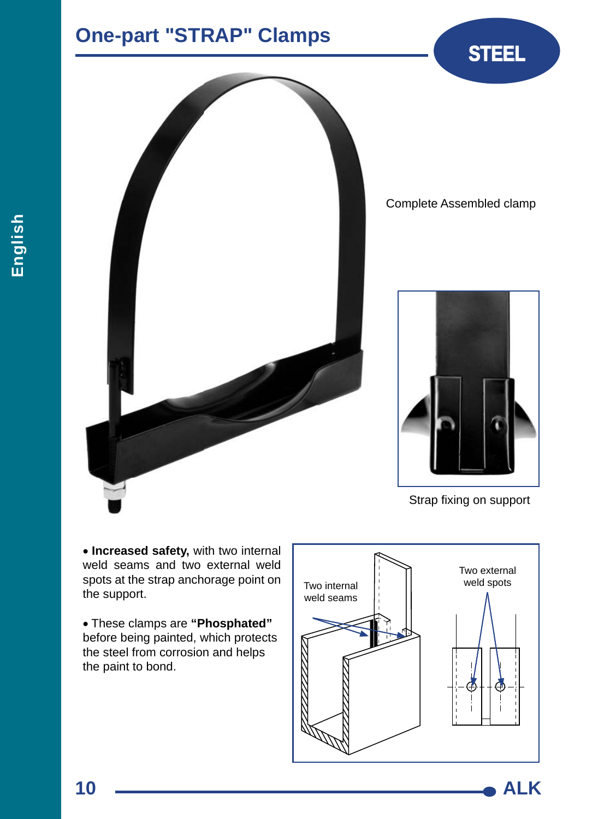## **One-part "STRAP" Clamps**





Complete Assembled clamp



Strap fixing on support

**Increased safety,** with two internal weld seams and two external weld spots at the strap anchorage point on the support.

These clamps are **"Phosphated"**  before being painted, which protects the steel from corrosion and helps the paint to bond.